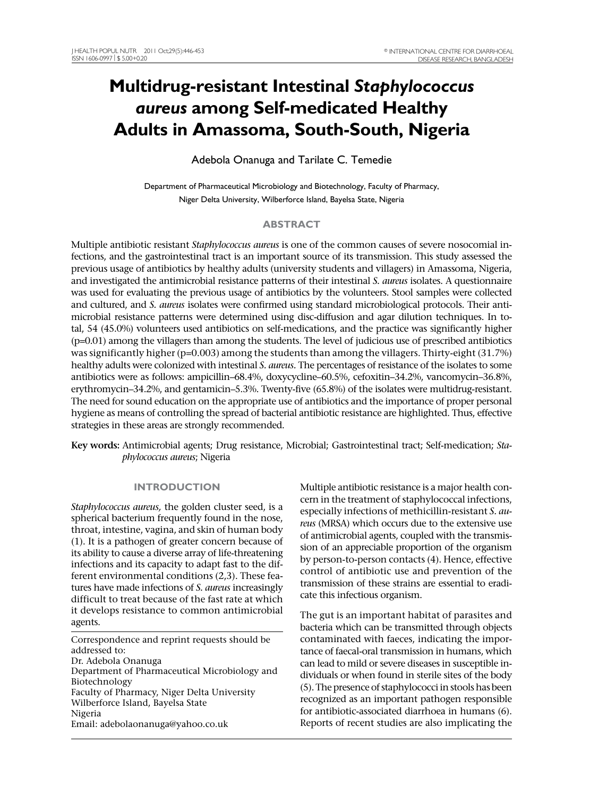# **Multidrug-resistant Intestinal** *Staphylococcus aureus* **among Self-medicated Healthy Adults in Amassoma, South-South, Nigeria**

Adebola Onanuga and Tarilate C. Temedie

Department of Pharmaceutical Microbiology and Biotechnology, Faculty of Pharmacy, Niger Delta University, Wilberforce Island, Bayelsa State, Nigeria

# **ABSTRACT**

Multiple antibiotic resistant *Staphylococcus aureus* is one of the common causes of severe nosocomial infections, and the gastrointestinal tract is an important source of its transmission. This study assessed the previous usage of antibiotics by healthy adults (university students and villagers) in Amassoma, Nigeria, and investigated the antimicrobial resistance patterns of their intestinal *S. aureus* isolates. A questionnaire was used for evaluating the previous usage of antibiotics by the volunteers. Stool samples were collected and cultured, and *S. aureus* isolates were confirmed using standard microbiological protocols. Their antimicrobial resistance patterns were determined using disc-diffusion and agar dilution techniques. In total, 54 (45.0%) volunteers used antibiotics on self-medications, and the practice was significantly higher (p=0.01) among the villagers than among the students. The level of judicious use of prescribed antibiotics was significantly higher (p=0.003) among the students than among the villagers. Thirty-eight (31.7%) healthy adults were colonized with intestinal *S. aureus.* The percentages of resistance of the isolates to some antibiotics were as follows: ampicillin–68.4%, doxycycline–60.5%, cefoxitin–34.2%, vancomycin–36.8%, erythromycin–34.2%, and gentamicin–5.3%. Twenty-five (65.8%) of the isolates were multidrug-resistant. The need for sound education on the appropriate use of antibiotics and the importance of proper personal hygiene as means of controlling the spread of bacterial antibiotic resistance are highlighted. Thus, effective strategies in these areas are strongly recommended.

**Key words:** Antimicrobial agents; Drug resistance, Microbial; Gastrointestinal tract; Self-medication; *Staphylococcus aureus*; Nigeria

# **INTRODUCTION**

*Staphylococcus aureus,* the golden cluster seed, is a spherical bacterium frequently found in the nose, throat, intestine, vagina, and skin of human body (1). It is a pathogen of greater concern because of its ability to cause a diverse array of life-threatening infections and its capacity to adapt fast to the different environmental conditions (2,3). These features have made infections of *S. aureus* increasingly difficult to treat because of the fast rate at which it develops resistance to common antimicrobial agents.

Correspondence and reprint requests should be addressed to: Dr. Adebola Onanuga Department of Pharmaceutical Microbiology and Biotechnology Faculty of Pharmacy, Niger Delta University Wilberforce Island, Bayelsa State Nigeria Email: adebolaonanuga@yahoo.co.uk

Multiple antibiotic resistance is a major health concern in the treatment of staphylococcal infections, especially infections of methicillin-resistant *S. aureus* (MRSA) which occurs due to the extensive use of antimicrobial agents, coupled with the transmission of an appreciable proportion of the organism by person-to-person contacts (4). Hence, effective control of antibiotic use and prevention of the transmission of these strains are essential to eradicate this infectious organism.

The gut is an important habitat of parasites and bacteria which can be transmitted through objects contaminated with faeces, indicating the importance of faecal-oral transmission in humans, which can lead to mild or severe diseases in susceptible individuals or when found in sterile sites of the body (5). The presence of staphylococci in stools has been recognized as an important pathogen responsible for antibiotic-associated diarrhoea in humans (6). Reports of recent studies are also implicating the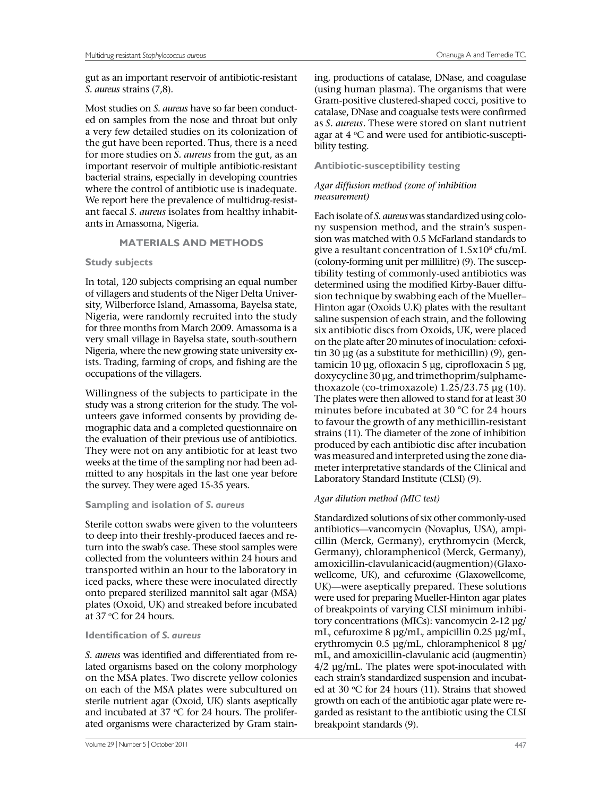gut as an important reservoir of antibiotic-resistant *S. aureus* strains (7,8).

Most studies on *S. aureus* have so far been conducted on samples from the nose and throat but only a very few detailed studies on its colonization of the gut have been reported. Thus, there is a need for more studies on *S. aureus* from the gut, as an important reservoir of multiple antibiotic-resistant bacterial strains, especially in developing countries where the control of antibiotic use is inadequate. We report here the prevalence of multidrug-resistant faecal *S. aureus* isolates from healthy inhabitants in Amassoma, Nigeria.

### **MATERIALS AND METHODS**

### **Study subjects**

In total, 120 subjects comprising an equal number of villagers and students of the Niger Delta University, Wilberforce Island, Amassoma, Bayelsa state, Nigeria, were randomly recruited into the study for three months from March 2009. Amassoma is a very small village in Bayelsa state, south-southern Nigeria, where the new growing state university exists. Trading, farming of crops, and fishing are the occupations of the villagers.

Willingness of the subjects to participate in the study was a strong criterion for the study. The volunteers gave informed consents by providing demographic data and a completed questionnaire on the evaluation of their previous use of antibiotics. They were not on any antibiotic for at least two weeks at the time of the sampling nor had been admitted to any hospitals in the last one year before the survey. They were aged 15-35 years.

### **Sampling and isolation of** *S. aureus*

Sterile cotton swabs were given to the volunteers to deep into their freshly-produced faeces and return into the swab's case. These stool samples were collected from the volunteers within 24 hours and transported within an hour to the laboratory in iced packs, where these were inoculated directly onto prepared sterilized mannitol salt agar (MSA) plates (Oxoid, UK) and streaked before incubated at 37  $\rm{^{\circ}C}$  for 24 hours.

### **Identification of** *S. aureus*

*S. aureus* was identified and differentiated from related organisms based on the colony morphology on the MSA plates. Two discrete yellow colonies on each of the MSA plates were subcultured on sterile nutrient agar (Oxoid, UK) slants aseptically and incubated at 37  $\mathrm{^{\circ}C}$  for 24 hours. The proliferated organisms were characterized by Gram stain-

ing, productions of catalase, DNase, and coagulase (using human plasma). The organisms that were Gram-positive clustered-shaped cocci, positive to catalase, DNase and coagualse tests were confirmed as *S. aureus*. These were stored on slant nutrient agar at  $4 \,^{\circ}\text{C}$  and were used for antibiotic-susceptibility testing.

# **Antibiotic-susceptibility testing**

### *Agar diffusion method (zone of inhibition measurement)*

Each isolate of *S. aureus* was standardized using colony suspension method, and the strain's suspension was matched with 0.5 McFarland standards to give a resultant concentration of  $1.5x10<sup>8</sup>$  cfu/mL (colony-forming unit per millilitre) (9). The susceptibility testing of commonly-used antibiotics was determined using the modified Kirby-Bauer diffusion technique by swabbing each of the Mueller– Hinton agar (Oxoids U.K) plates with the resultant saline suspension of each strain, and the following six antibiotic discs from Oxoids, UK, were placed on the plate after 20 minutes of inoculation: cefoxitin 30 μg (as a substitute for methicillin) (9), gentamicin 10 μg, ofloxacin 5 μg, ciprofloxacin 5 μg, doxycycline 30 μg, and trimethoprim/sulphamethoxazole (co-trimoxazole) 1.25/23.75 μg (10). The plates were then allowed to stand for at least 30 minutes before incubated at 30 °C for 24 hours to favour the growth of any methicillin-resistant strains (11). The diameter of the zone of inhibition produced by each antibiotic disc after incubation was measured and interpreted using the zone diameter interpretative standards of the Clinical and Laboratory Standard Institute (CLSI) (9).

# *Agar dilution method (MIC test)*

Standardized solutions of six other commonly-used antibiotics—vancomycin (Novaplus, USA), ampicillin (Merck, Germany), erythromycin (Merck, Germany), chloramphenicol (Merck, Germany), amoxicillin-clavulanic acid (augmention) (Glaxowellcome, UK), and cefuroxime (Glaxowellcome, UK)—were aseptically prepared. These solutions were used for preparing Mueller-Hinton agar plates of breakpoints of varying CLSI minimum inhibitory concentrations (MICs): vancomycin 2-12 μg/ mL, cefuroxime 8 μg/mL, ampicillin 0.25 μg/mL, erythromycin 0.5 μg/mL, chloramphenicol 8 μg/ mL, and amoxicillin-clavulanic acid (augmentin) 4/2 μg/mL. The plates were spot-inoculated with each strain's standardized suspension and incubated at 30  $\mathrm{C}$  for 24 hours (11). Strains that showed growth on each of the antibiotic agar plate were regarded as resistant to the antibiotic using the CLSI breakpoint standards (9).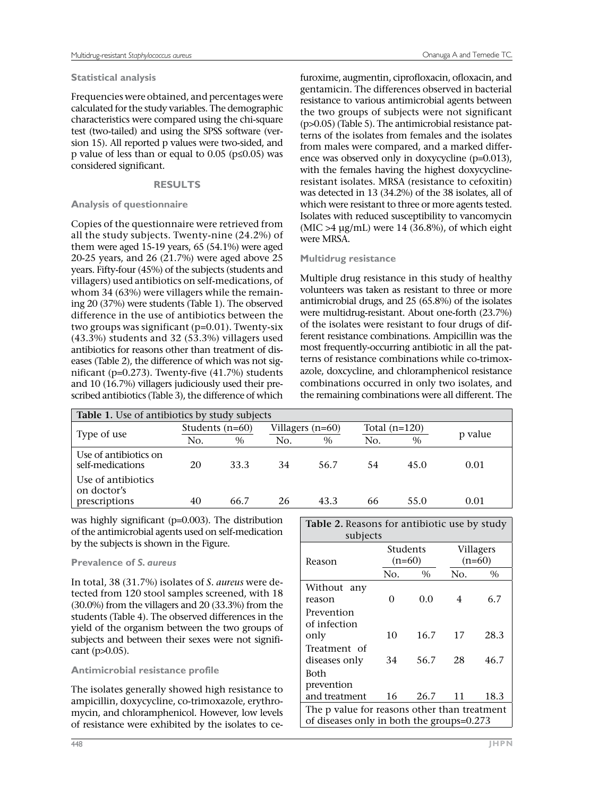## **Statistical analysis**

Frequencies were obtained, and percentages were calculated for the study variables. The demographic characteristics were compared using the chi-square test (two-tailed) and using the SPSS software (version 15). All reported p values were two-sided, and p value of less than or equal to  $0.05$  ( $p \le 0.05$ ) was considered significant.

# **RESULTS**

# **Analysis of questionnaire**

Copies of the questionnaire were retrieved from all the study subjects. Twenty-nine (24.2%) of them were aged 15-19 years, 65 (54.1%) were aged 20-25 years, and 26 (21.7%) were aged above 25 years. Fifty-four (45%) of the subjects (students and villagers) used antibiotics on self-medications, of whom 34 (63%) were villagers while the remaining 20 (37%) were students (Table 1). The observed difference in the use of antibiotics between the two groups was significant (p=0.01). Twenty-six (43.3%) students and 32 (53.3%) villagers used antibiotics for reasons other than treatment of diseases (Table 2), the difference of which was not significant (p=0.273). Twenty-five (41.7%) students and 10 (16.7%) villagers judiciously used their prescribed antibiotics (Table 3), the difference of which

furoxime, augmentin, ciprofloxacin, ofloxacin, and gentamicin. The differences observed in bacterial resistance to various antimicrobial agents between the two groups of subjects were not significant (p>0.05) (Table 5). The antimicrobial resistance patterns of the isolates from females and the isolates from males were compared, and a marked difference was observed only in doxycycline (p=0.013), with the females having the highest doxycyclineresistant isolates. MRSA (resistance to cefoxitin) was detected in 13 (34.2%) of the 38 isolates, all of which were resistant to three or more agents tested. Isolates with reduced susceptibility to vancomycin  $(MIC > 4 \mu g/mL)$  were 14 (36.8%), of which eight were MRSA.

# **Multidrug resistance**

Multiple drug resistance in this study of healthy volunteers was taken as resistant to three or more antimicrobial drugs, and 25 (65.8%) of the isolates were multidrug-resistant. About one-forth (23.7%) of the isolates were resistant to four drugs of different resistance combinations. Ampicillin was the most frequently-occurring antibiotic in all the patterns of resistance combinations while co-trimoxazole, doxcycline, and chloramphenicol resistance combinations occurred in only two isolates, and the remaining combinations were all different. The

| <b>Table 1.</b> Use of antibiotics by study subjects |                   |      |                    |      |                 |      |         |  |  |
|------------------------------------------------------|-------------------|------|--------------------|------|-----------------|------|---------|--|--|
|                                                      | Students $(n=60)$ |      | Villagers $(n=60)$ |      | Total $(n=120)$ |      |         |  |  |
| Type of use                                          | No.               | $\%$ | No.                | $\%$ | No.             | $\%$ | p value |  |  |
| Use of antibiotics on<br>self-medications            | 20                | 33.3 | 34                 | 56.7 | 54              | 45.0 | 0.01    |  |  |
| Use of antibiotics<br>on doctor's<br>prescriptions   | 40                | 66.7 | 26                 | 43.3 | 66              | 55.0 | 0.01    |  |  |

was highly significant (p=0.003). The distribution of the antimicrobial agents used on self-medication by the subjects is shown in the Figure.

# **Prevalence of** *S. aureus*

In total, 38 (31.7%) isolates of *S. aureus* were detected from 120 stool samples screened, with 18 (30.0%) from the villagers and 20 (33.3%) from the students (Table 4). The observed differences in the yield of the organism between the two groups of subjects and between their sexes were not significant (p>0.05).

# **Antimicrobial resistance profile**

The isolates generally showed high resistance to ampicillin, doxycycline, co-trimoxazole, erythromycin, and chloramphenicol. However, low levels of resistance were exhibited by the isolates to ce-

| Table 2. Reasons for antibiotic use by study<br>subjects                                  |                      |      |           |          |  |  |  |  |
|-------------------------------------------------------------------------------------------|----------------------|------|-----------|----------|--|--|--|--|
| Reason                                                                                    | Students<br>$(n=60)$ |      | Villagers | $(n=60)$ |  |  |  |  |
|                                                                                           | No.                  | $\%$ | No.       | $\%$     |  |  |  |  |
| Without any<br>reason                                                                     | 0                    | 0.0  | 4         | 6.7      |  |  |  |  |
| Prevention<br>of infection<br>only                                                        | 10                   | 16.7 | 17        | 28.3     |  |  |  |  |
| Treatment of<br>diseases only                                                             | 34                   | 56.7 | 28        | 46.7     |  |  |  |  |
| Both<br>prevention                                                                        |                      |      |           |          |  |  |  |  |
| and treatment                                                                             | 16                   | 26.7 | 11        | 18.3     |  |  |  |  |
| The p value for reasons other than treatment<br>of diseases only in both the groups=0.273 |                      |      |           |          |  |  |  |  |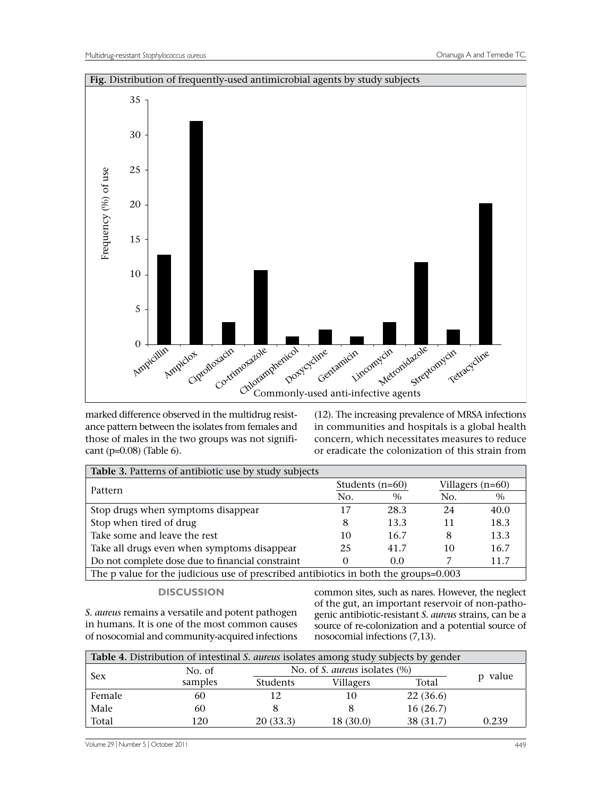

marked difference observed in the multidrug resistance pattern between the isolates from females and those of males in the two groups was not significant (p=0.08) (Table 6).

(12). The increasing prevalence of MRSA infections in communities and hospitals is a global health concern, which necessitates measures to reduce or eradicate the colonization of this strain from

| Table 3. Patterns of antibiotic use by study subjects                                |          |                   |                    |      |  |  |  |  |
|--------------------------------------------------------------------------------------|----------|-------------------|--------------------|------|--|--|--|--|
|                                                                                      |          | Students $(n=60)$ | Villagers $(n=60)$ |      |  |  |  |  |
| Pattern                                                                              | No.      | $\%$              | No.                | $\%$ |  |  |  |  |
| Stop drugs when symptoms disappear                                                   | 17       | 28.3              | 24                 | 40.0 |  |  |  |  |
| Stop when tired of drug                                                              | 8        | 13.3              | 11                 | 18.3 |  |  |  |  |
| Take some and leave the rest                                                         | 10       | 16.7              | 8                  | 13.3 |  |  |  |  |
| Take all drugs even when symptoms disappear                                          | 25       | 41.7              | 10                 | 16.7 |  |  |  |  |
| Do not complete dose due to financial constraint                                     | $\Omega$ | 0.0               |                    | 11.7 |  |  |  |  |
| The p value for the judicious use of prescribed antibiotics in both the groups=0.003 |          |                   |                    |      |  |  |  |  |

#### **DISCUSSION**

*S. aureus* remains a versatile and potent pathogen in humans. It is one of the most common causes of nosocomial and community-acquired infections common sites, such as nares. However, the neglect of the gut, an important reservoir of non-pathogenic antibiotic-resistant *S. aureus* strains, can be a source of re-colonization and a potential source of nosocomial infections (7,13).

| Table 4. Distribution of intestinal S. aureus isolates among study subjects by gender |         |                 |                                         |           |       |  |  |
|---------------------------------------------------------------------------------------|---------|-----------------|-----------------------------------------|-----------|-------|--|--|
| <b>Sex</b>                                                                            | No. of  |                 | No. of S. <i>aureus</i> isolates $(\%)$ |           |       |  |  |
|                                                                                       | samples | <b>Students</b> | Villagers                               | Total     | value |  |  |
| Female                                                                                | 60      | 12              |                                         | 22(36.6)  |       |  |  |
| Male                                                                                  | 60      |                 |                                         | 16(26.7)  |       |  |  |
| Total                                                                                 | 120     | 20(33.3)        | 18 (30.0)                               | 38 (31.7) | 0.239 |  |  |

Volume 29 | Number 5 | October 2011 449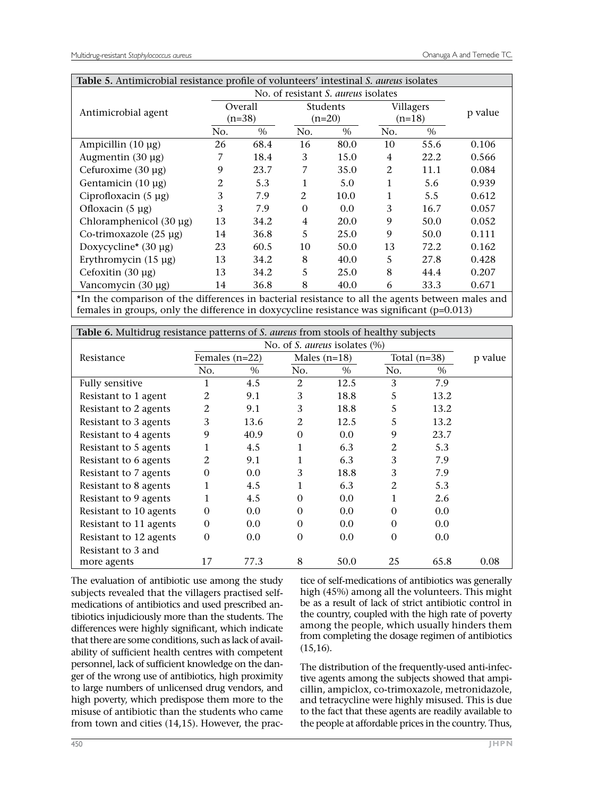| Table 5. Antimicrobial resistance profile of volunteers' intestinal S. aureus isolates |                     |                                            |                             |      |                       |      |         |  |
|----------------------------------------------------------------------------------------|---------------------|--------------------------------------------|-----------------------------|------|-----------------------|------|---------|--|
|                                                                                        |                     | No. of resistant S. <i>aureus</i> isolates |                             |      |                       |      |         |  |
| Antimicrobial agent                                                                    | Overall<br>$(n=38)$ |                                            | <b>Students</b><br>$(n=20)$ |      | Villagers<br>$(n=18)$ |      | p value |  |
|                                                                                        | No.                 | $\%$                                       | No.                         | $\%$ | No.                   | $\%$ |         |  |
| Ampicillin $(10 \mu g)$                                                                | 26                  | 68.4                                       | 16                          | 80.0 | 10                    | 55.6 | 0.106   |  |
| Augmentin $(30 \mu g)$                                                                 | 7                   | 18.4                                       | 3                           | 15.0 | 4                     | 22.2 | 0.566   |  |
| Cefuroxime $(30 \mu g)$                                                                | 9                   | 23.7                                       | 7                           | 35.0 | 2                     | 11.1 | 0.084   |  |
| Gentamicin $(10 \mu g)$                                                                | 2                   | 5.3                                        | 1                           | 5.0  | 1                     | 5.6  | 0.939   |  |
| Ciprofloxacin $(5 \mu g)$                                                              | 3                   | 7.9                                        | 2                           | 10.0 | 1                     | 5.5  | 0.612   |  |
| Ofloxacin $(5 \mu g)$                                                                  | 3                   | 7.9                                        | $\Omega$                    | 0.0  | 3                     | 16.7 | 0.057   |  |
| Chloramphenicol (30 µg)                                                                | 13                  | 34.2                                       | 4                           | 20.0 | 9                     | 50.0 | 0.052   |  |
| Co-trimoxazole $(25 \text{ µg})$                                                       | 14                  | 36.8                                       | 5                           | 25.0 | 9                     | 50.0 | 0.111   |  |
| Doxycycline* $(30 \mu g)$                                                              | 23                  | 60.5                                       | 10                          | 50.0 | 13                    | 72.2 | 0.162   |  |
| Erythromycin $(15 \mu g)$                                                              | 13                  | 34.2                                       | 8                           | 40.0 | 5                     | 27.8 | 0.428   |  |
| Cefoxitin $(30 \mu g)$                                                                 | 13                  | 34.2                                       | 5                           | 25.0 | 8                     | 44.4 | 0.207   |  |
| Vancomycin (30 µg)                                                                     | 14                  | 36.8                                       | 8                           | 40.0 | 6                     | 33.3 | 0.671   |  |

\*In the comparison of the differences in bacterial resistance to all the agents between males and females in groups, only the difference in doxycycline resistance was significant (p=0.013)

| Table 6. Multidrug resistance patterns of S. aureus from stools of healthy subjects |                  |      |                |      |                |      |         |  |
|-------------------------------------------------------------------------------------|------------------|------|----------------|------|----------------|------|---------|--|
| No. of <i>S. aureus</i> isolates $(\%)$                                             |                  |      |                |      |                |      |         |  |
| Resistance                                                                          | Females $(n=22)$ |      | Males $(n=18)$ |      | Total $(n=38)$ |      | p value |  |
|                                                                                     | No.              | $\%$ | No.            | $\%$ | No.            | $\%$ |         |  |
| <b>Fully sensitive</b>                                                              |                  | 4.5  | $\mathcal{L}$  | 12.5 | 3              | 7.9  |         |  |
| Resistant to 1 agent                                                                | 2                | 9.1  | 3              | 18.8 | 5              | 13.2 |         |  |
| Resistant to 2 agents                                                               | 2                | 9.1  | 3              | 18.8 | 5              | 13.2 |         |  |
| Resistant to 3 agents                                                               | 3                | 13.6 | 2              | 12.5 | 5              | 13.2 |         |  |
| Resistant to 4 agents                                                               | 9                | 40.9 | $\Omega$       | 0.0  | 9              | 23.7 |         |  |
| Resistant to 5 agents                                                               |                  | 4.5  | 1              | 6.3  | 2              | 5.3  |         |  |
| Resistant to 6 agents                                                               | 2                | 9.1  | 1              | 6.3  | 3              | 7.9  |         |  |
| Resistant to 7 agents                                                               | 0                | 0.0  | 3              | 18.8 | 3              | 7.9  |         |  |
| Resistant to 8 agents                                                               |                  | 4.5  |                | 6.3  | 2              | 5.3  |         |  |
| Resistant to 9 agents                                                               |                  | 4.5  | $\Omega$       | 0.0  |                | 2.6  |         |  |
| Resistant to 10 agents                                                              | $\Omega$         | 0.0  | $\Omega$       | 0.0  | $\Omega$       | 0.0  |         |  |
| Resistant to 11 agents                                                              | $\Omega$         | 0.0  | $\Omega$       | 0.0  | $\Omega$       | 0.0  |         |  |
| Resistant to 12 agents                                                              | $\Omega$         | 0.0  | $\Omega$       | 0.0  | $\Omega$       | 0.0  |         |  |
| Resistant to 3 and                                                                  |                  |      |                |      |                |      |         |  |
| more agents                                                                         | 17               | 77.3 | 8              | 50.0 | 25             | 65.8 | 0.08    |  |

The evaluation of antibiotic use among the study subjects revealed that the villagers practised selfmedications of antibiotics and used prescribed antibiotics injudiciously more than the students. The differences were highly significant, which indicate that there are some conditions, such as lack of availability of sufficient health centres with competent personnel, lack of sufficient knowledge on the danger of the wrong use of antibiotics, high proximity to large numbers of unlicensed drug vendors, and high poverty, which predispose them more to the misuse of antibiotic than the students who came from town and cities (14,15). However, the prac-

tice of self-medications of antibiotics was generally high (45%) among all the volunteers. This might be as a result of lack of strict antibiotic control in the country, coupled with the high rate of poverty among the people, which usually hinders them from completing the dosage regimen of antibiotics (15,16).

The distribution of the frequently-used anti-infective agents among the subjects showed that ampicillin, ampiclox, co-trimoxazole, metronidazole, and tetracycline were highly misused. This is due to the fact that these agents are readily available to the people at affordable prices in the country. Thus,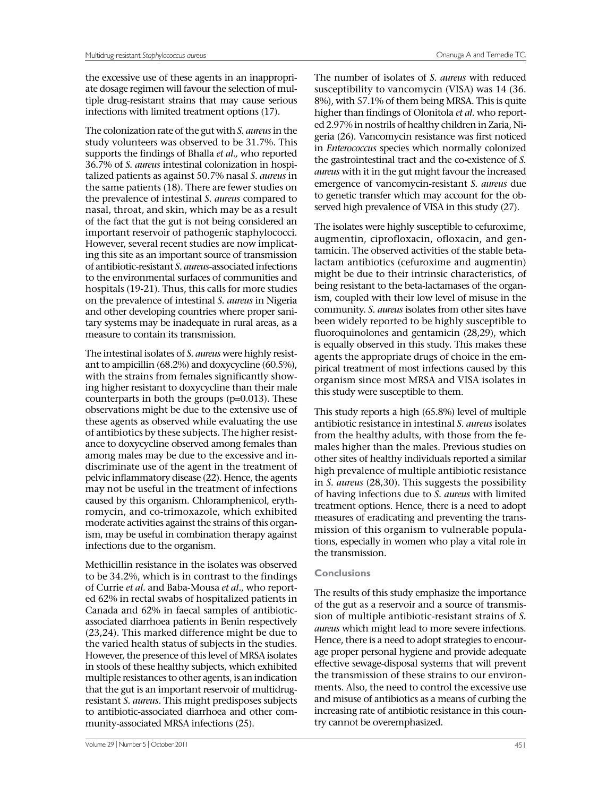the excessive use of these agents in an inappropriate dosage regimen will favour the selection of multiple drug-resistant strains that may cause serious infections with limited treatment options (17).

The colonization rate of the gut with *S. aureus* in the study volunteers was observed to be 31.7%. This supports the findings of Bhalla *et al.,* who reported 36.7% of *S. aureus* intestinal colonization in hospitalized patients as against 50.7% nasal *S. aureus* in the same patients (18). There are fewer studies on the prevalence of intestinal *S. aureus* compared to nasal, throat, and skin, which may be as a result of the fact that the gut is not being considered an important reservoir of pathogenic staphylococci. However, several recent studies are now implicating this site as an important source of transmission of antibiotic-resistant *S. aureus-*associated infections to the environmental surfaces of communities and hospitals (19-21). Thus, this calls for more studies on the prevalence of intestinal *S. aureus* in Nigeria and other developing countries where proper sanitary systems may be inadequate in rural areas, as a measure to contain its transmission.

The intestinal isolates of *S. aureus* were highly resistant to ampicillin (68.2%) and doxycycline (60.5%), with the strains from females significantly showing higher resistant to doxycycline than their male counterparts in both the groups (p=0.013). These observations might be due to the extensive use of these agents as observed while evaluating the use of antibiotics by these subjects. The higher resistance to doxycycline observed among females than among males may be due to the excessive and indiscriminate use of the agent in the treatment of pelvic inflammatory disease (22). Hence, the agents may not be useful in the treatment of infections caused by this organism. Chloramphenicol, erythromycin, and co-trimoxazole, which exhibited moderate activities against the strains of this organism, may be useful in combination therapy against infections due to the organism.

Methicillin resistance in the isolates was observed to be 34.2%, which is in contrast to the findings of Currie *et al.* and Baba-Mousa *et al.,* who reported 62% in rectal swabs of hospitalized patients in Canada and 62% in faecal samples of antibioticassociated diarrhoea patients in Benin respectively (23,24). This marked difference might be due to the varied health status of subjects in the studies. However, the presence of this level of MRSA isolates in stools of these healthy subjects, which exhibited multiple resistances to other agents, is an indication that the gut is an important reservoir of multidrugresistant *S. aureus*. This might predisposes subjects to antibiotic-associated diarrhoea and other community-associated MRSA infections (25).

The number of isolates of *S. aureus* with reduced susceptibility to vancomycin (VISA) was 14 (36. 8%), with 57.1% of them being MRSA. This is quite higher than findings of Olonitola *et al.* who reported 2.97% in nostrils of healthy children in Zaria, Nigeria (26). Vancomycin resistance was first noticed in *Enterococcus* species which normally colonized the gastrointestinal tract and the co-existence of *S. aureus* with it in the gut might favour the increased emergence of vancomycin-resistant *S. aureus* due to genetic transfer which may account for the observed high prevalence of VISA in this study (27).

The isolates were highly susceptible to cefuroxime, augmentin, ciprofloxacin, ofloxacin, and gentamicin. The observed activities of the stable betalactam antibiotics (cefuroxime and augmentin) might be due to their intrinsic characteristics, of being resistant to the beta-lactamases of the organism, coupled with their low level of misuse in the community. *S. aureus* isolates from other sites have been widely reported to be highly susceptible to fluoroquinolones and gentamicin (28,29), which is equally observed in this study. This makes these agents the appropriate drugs of choice in the empirical treatment of most infections caused by this organism since most MRSA and VISA isolates in this study were susceptible to them.

This study reports a high (65.8%) level of multiple antibiotic resistance in intestinal *S. aureus* isolates from the healthy adults, with those from the females higher than the males. Previous studies on other sites of healthy individuals reported a similar high prevalence of multiple antibiotic resistance in *S. aureus* (28,30). This suggests the possibility of having infections due to *S. aureus* with limited treatment options. Hence, there is a need to adopt measures of eradicating and preventing the transmission of this organism to vulnerable populations, especially in women who play a vital role in the transmission.

### **Conclusions**

The results of this study emphasize the importance of the gut as a reservoir and a source of transmission of multiple antibiotic-resistant strains of *S. aureus* which might lead to more severe infections. Hence, there is a need to adopt strategies to encourage proper personal hygiene and provide adequate effective sewage-disposal systems that will prevent the transmission of these strains to our environments. Also, the need to control the excessive use and misuse of antibiotics as a means of curbing the increasing rate of antibiotic resistance in this country cannot be overemphasized.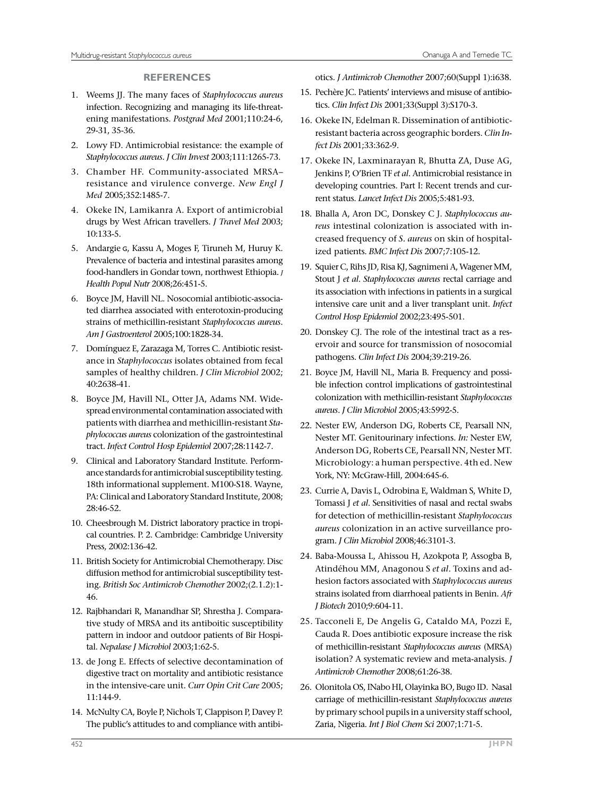## **REFERENCES**

- 1. Weems JJ. The many faces of *Staphylococcus aureus* infection. Recognizing and managing its life-threatening manifestations. *Postgrad Med* 2001;110:24-6, 29-31, 35-36.
- 2. Lowy FD. Antimicrobial resistance: the example of *Staphylococcus aureus. J Clin Invest* 2003;111:1265-73.
- 3. Chamber HF. Community-associated MRSA– resistance and virulence converge. *New Engl J Med* 2005;352:1485-7.
- 4. Okeke IN, Lamikanra A. Export of antimicrobial drugs by West African travellers. *J Travel Med* 2003; 10:133-5.
- 5. Andargie G, Kassu A, Moges F, Tiruneh M, Huruy K. Prevalence of bacteria and intestinal parasites among food-handlers in Gondar town, northwest Ethiopia. *J Health Popul Nutr* 2008;26:451-5.
- 6. Boyce JM, Havill NL. Nosocomial antibiotic-associated diarrhea associated with enterotoxin-producing strains of methicillin-resistant *Staphylococcus aureus*. *Am J Gastroenterol* 2005;100:1828-34.
- 7. Domínguez E, Zarazaga M, Torres C. Antibiotic resistance in *Staphylococcus* isolates obtained from fecal samples of healthy children. *J Clin Microbiol* 2002; 40:2638-41.
- 8. Boyce JM, Havill NL, Otter JA, Adams NM. Widespread environmental contamination associated with patients with diarrhea and methicillin-resistant *Staphylococcus aureus* colonization of the gastrointestinal tract. *Infect Control Hosp Epidemiol* 2007;28:1142-7.
- 9. Clinical and Laboratory Standard Institute. Performance standards for antimicrobial susceptibility testing. 18th informational supplement. M100-S18. Wayne, PA: Clinical and Laboratory Standard Institute, 2008; 28:46-52.
- 10. Cheesbrough M. District laboratory practice in tropical countries. P. 2. Cambridge: Cambridge University Press, 2002:136-42.
- 11. British Society for Antimicrobial Chemotherapy. Disc diffusion method for antimicrobial susceptibility testing*. British Soc Antimicrob Chemother* 2002;(2.1.2):1- 46.
- 12. Rajbhandari R, Manandhar SP, Shrestha J. Comparative study of MRSA and its antiboitic susceptibility pattern in indoor and outdoor patients of Bir Hospital. *Nepalase J Microbiol* 2003;1:62-5.
- 13. de Jong E. Effects of selective decontamination of digestive tract on mortality and antibiotic resistance in the intensive-care unit. *Curr Opin Crit Care* 2005; 11:144-9.
- 14. McNulty CA, Boyle P, Nichols T, Clappison P, Davey P. The public's attitudes to and compliance with antibi-

otics. *J Antimicrob Chemother* 2007;60(Suppl 1):i638.

- 15. Pechère JC. Patients' interviews and misuse of antibiotics. *Clin Infect Dis* 2001;33(Suppl 3):S170-3.
- 16. Okeke IN, Edelman R. Dissemination of antibioticresistant bacteria across geographic borders. *Clin Infect Dis* 2001;33:362-9.
- 17. Okeke IN, Laxminarayan R, Bhutta ZA, Duse AG, Jenkins P, O'Brien TF *et al*. Antimicrobial resistance in developing countries. Part I: Recent trends and current status. *Lancet Infect Dis* 2005;5:481-93.
- 18. Bhalla A, Aron DC, Donskey C J. *Staphylococcus aureus* intestinal colonization is associated with increased frequency of *S. aureus* on skin of hospitalized patients. *BMC Infect Dis* 2007;7:105-12.
- 19. Squier C, Rihs JD, Risa KJ, Sagnimeni A, Wagener MM, Stout J *et al*. *Staphylococcus aureus* rectal carriage and its association with infections in patients in a surgical intensive care unit and a liver transplant unit. *Infect Control Hosp Epidemiol* 2002;23:495-501.
- 20. Donskey CJ. The role of the intestinal tract as a reservoir and source for transmission of nosocomial pathogens. *Clin Infect Dis* 2004;39:219-26.
- 21. Boyce JM, Havill NL, Maria B. Frequency and possible infection control implications of gastrointestinal colonization with methicillin-resistant *Staphylococcus aureus*. *J Clin Microbiol* 2005;43:5992-5.
- 22. Nester EW, Anderson DG, Roberts CE, Pearsall NN, Nester MT. Genitourinary infections. *In:* Nester EW, Anderson DG, Roberts CE, Pearsall NN, Nester MT. Microbiology: a human perspective. 4th ed. New York, NY: McGraw-Hill, 2004:645-6.
- 23. Currie A, Davis L, Odrobina E, Waldman S, White D, Tomassi J *et al*. Sensitivities of nasal and rectal swabs for detection of methicillin-resistant *Staphylococcus aureus* colonization in an active surveillance program. *J Clin Microbiol* 2008;46:3101-3.
- 24. Baba-Moussa L, Ahissou H, Azokpota P, Assogba B, Atindéhou MM, Anagonou S *et al*. Toxins and adhesion factors associated with *Staphylococcus aureus*  strains isolated from diarrhoeal patients in Benin. *Afr J Biotech* 2010;9:604-11.
- 25. Tacconeli E, De Angelis G, Cataldo MA, Pozzi E, Cauda R. Does antibiotic exposure increase the risk of methicillin-resistant *Staphylococcus aureus* (MRSA) isolation? A systematic review and meta-analysis. *J Antimicrob Chemother* 2008;61:26-38.
- 26. Olonitola OS, INabo HI, Olayinka BO, Bugo ID. Nasal carriage of methicillin-resistant *Staphylococcus aureus* by primary school pupils in a university staff school, Zaria, Nigeria. *Int J Biol Chem Sci* 2007;1:71-5.